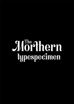# Mörthern typespecimen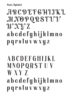**Basic Alphabet** 

### $A$   $B$   $C$   $D$   $E$   $F$   $G$   $H$   $1$   $1$   $K$   $1$ , M NOPQRSTUT W X Y Z a b c d e f g h i j k l m n o p q r s t u v w x y z

### A B C D E F G H I J K L MNOPQRSTUV W X Y Z a b c d e f g h i j k l m n o p q r s t u v w x y z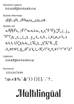Standard Ligature fi di di et ff fj it ri rt si st ti vi wi

Stylistic Alterntaes

a b d e g h i j k l m n o p q t u y &

Stylistic set

 $a_0$  b  $a_0$   $a_1$   $a_2$   $a_3$   $a_4$   $a_5$   $a_6$   $a_7$   $a_8$   $a_9$   $a_9$   $a_9$   $a_9$   $a_9$   $a_9$   $a_9$   $a_9$   $a_9$   $a_9$   $a_9$   $a_9$   $a_9$   $a_9$   $a_9$   $a_9$   $a_9$   $a_9$   $a_9$   $a_9$   $a_9$   $a_9$   $a_9$   $a_9$   $a_9$   $a_9$   $a_$ opop meretet y de gehe jellemen und  $d_0 h_1 k_0 u_0 d_0 k_0 h_1 d_0 h_0 h_1 d_0 h_0 d_0$ A BCDE G HOJKL AC N Q R SU'V W Y

Ligatures

ci ci et ff fi it ri ri si si ti vi wi

Numerical

1 2 3 4 5 6 7 8 9 0

 $!@# $\% ^{^{\wedge }}\& ^{*}( )\{\}\[1:``?...$ 

# Mûltìliñgüãl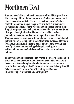### Morthern Text

Bohemianism is the practice of an unconventional lifestyle, often in the company of like-minded people and with few permanent ties. I t involves musical, artistic, literary, or spiritual pursuits. In this context, Bohemians may or may not be wanderers, adventurers, or vagabonds. This use of the word bohemian first appeared in the English language in the 19th century to describe the non-traditional lifestyles of marginalized and impoverished artists, writers, journalists, musicians, and actors in major European cities.  $\mathbf{\tilde{B}}$ ohemians were associated with unorthodox or anti-establishment political or social viewpoints, which often were expressed through free love, frugality, and—in some cases—simple living or voluntary poverty. A more economically privileged, wealthy, or even aristocratic bohemian circle is sometimes referred to as haute bohème.

The term bohemianism emerged in France in the early 19th century, when artists and creators began to concentrate in the lower-rent, lower class, Romani neighborhoods. Bohémien was a common term for the Romani people of Trance, who were mistakenly thought to have reached France in the 15th century via Bohemia (the western part of modern Czech Republic).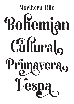